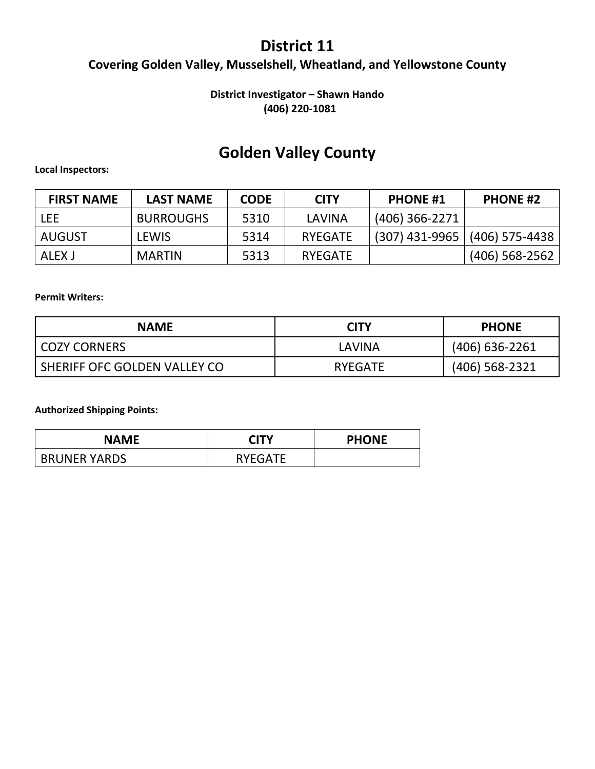### **District 11**

### **Covering Golden Valley, Musselshell, Wheatland, and Yellowstone County**

#### **District Investigator – Shawn Hando (406) 220-1081**

### **Golden Valley County**

#### **Local Inspectors:**

| <b>FIRST NAME</b> | <b>LAST NAME</b> | <b>CODE</b> | <b>CITY</b>    | <b>PHONE #1</b>  | <b>PHONE #2</b>  |
|-------------------|------------------|-------------|----------------|------------------|------------------|
| lee               | <b>BURROUGHS</b> | 5310        | LAVINA         | $(406)$ 366-2271 |                  |
| AUGUST            | LEWIS            | 5314        | <b>RYEGATE</b> | $(307)$ 431-9965 | (406) 575-4438   |
| ALEX J            | <b>MARTIN</b>    | 5313        | <b>RYEGATE</b> |                  | $(406)$ 568-2562 |

#### **Permit Writers:**

| <b>NAME</b>                  | <b>CITY</b>    | <b>PHONE</b>     |
|------------------------------|----------------|------------------|
| COZY CORNERS                 | I AVINA        | $(406)$ 636-2261 |
| SHERIFF OFC GOLDEN VALLEY CO | <b>RYEGATE</b> | $(406)$ 568-2321 |

| <b>NAME</b>         | <b>CITY</b>    | <b>PHONE</b> |
|---------------------|----------------|--------------|
| <b>BRUNER YARDS</b> | <b>RYEGATE</b> |              |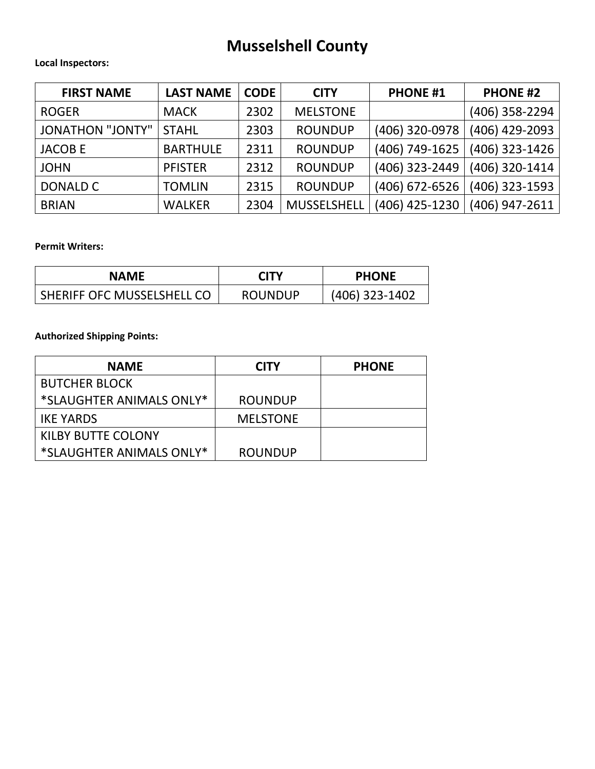# **Musselshell County**

#### **Local Inspectors:**

| <b>FIRST NAME</b>       | <b>LAST NAME</b> | <b>CODE</b> | <b>CITY</b>        | <b>PHONE #1</b> | <b>PHONE #2</b> |
|-------------------------|------------------|-------------|--------------------|-----------------|-----------------|
| <b>ROGER</b>            | <b>MACK</b>      | 2302        | <b>MELSTONE</b>    |                 | (406) 358-2294  |
| <b>JONATHON "JONTY"</b> | <b>STAHL</b>     | 2303        | <b>ROUNDUP</b>     | (406) 320-0978  | (406) 429-2093  |
| <b>JACOBE</b>           | <b>BARTHULE</b>  | 2311        | <b>ROUNDUP</b>     | (406) 749-1625  | (406) 323-1426  |
| <b>JOHN</b>             | <b>PFISTER</b>   | 2312        | <b>ROUNDUP</b>     | (406) 323-2449  | (406) 320-1414  |
| DONALD C                | <b>TOMLIN</b>    | 2315        | <b>ROUNDUP</b>     | (406) 672-6526  | (406) 323-1593  |
| <b>BRIAN</b>            | <b>WALKER</b>    | 2304        | <b>MUSSELSHELL</b> | (406) 425-1230  | (406) 947-2611  |

#### **Permit Writers:**

| NAME                       | <b>CITY</b>    | <b>PHONE</b>   |
|----------------------------|----------------|----------------|
| SHERIFF OFC MUSSELSHELL CO | <b>ROUNDUP</b> | (406) 323-1402 |

| <b>NAME</b>               | <b>CITY</b>     | <b>PHONE</b> |
|---------------------------|-----------------|--------------|
| <b>BUTCHER BLOCK</b>      |                 |              |
| *SLAUGHTER ANIMALS ONLY*  | <b>ROUNDUP</b>  |              |
| <b>IKE YARDS</b>          | <b>MELSTONE</b> |              |
| <b>KILBY BUTTE COLONY</b> |                 |              |
| *SLAUGHTER ANIMALS ONLY*  | <b>ROUNDUP</b>  |              |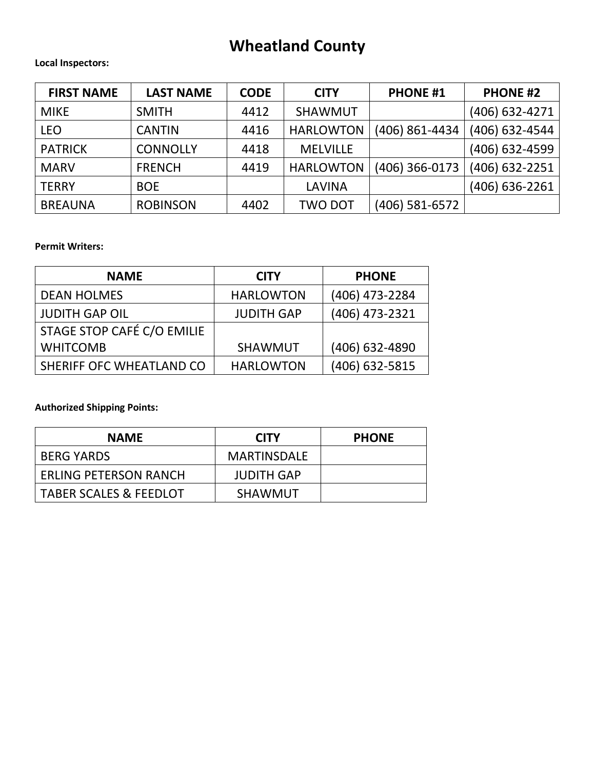# **Wheatland County**

#### **Local Inspectors:**

| <b>FIRST NAME</b> | <b>LAST NAME</b> | <b>CODE</b> | <b>CITY</b>      | <b>PHONE #1</b> | <b>PHONE #2</b> |
|-------------------|------------------|-------------|------------------|-----------------|-----------------|
| <b>MIKE</b>       | <b>SMITH</b>     | 4412        | <b>SHAWMUT</b>   |                 | (406) 632-4271  |
| <b>LEO</b>        | <b>CANTIN</b>    | 4416        | <b>HARLOWTON</b> | (406) 861-4434  | (406) 632-4544  |
| <b>PATRICK</b>    | <b>CONNOLLY</b>  | 4418        | <b>MELVILLE</b>  |                 | (406) 632-4599  |
| <b>MARV</b>       | <b>FRENCH</b>    | 4419        | <b>HARLOWTON</b> | (406) 366-0173  | (406) 632-2251  |
| <b>TERRY</b>      | <b>BOE</b>       |             | LAVINA           |                 | (406) 636-2261  |
| <b>BREAUNA</b>    | <b>ROBINSON</b>  | 4402        | <b>TWO DOT</b>   | (406) 581-6572  |                 |

#### **Permit Writers:**

| <b>NAME</b>                | <b>CITY</b>       | <b>PHONE</b>   |
|----------------------------|-------------------|----------------|
| <b>DEAN HOLMES</b>         | <b>HARLOWTON</b>  | (406) 473-2284 |
| <b>JUDITH GAP OIL</b>      | <b>JUDITH GAP</b> | (406) 473-2321 |
| STAGE STOP CAFÉ C/O EMILIE |                   |                |
| <b>WHITCOMB</b>            | <b>SHAWMUT</b>    | (406) 632-4890 |
| SHERIFF OFC WHEATLAND CO   | <b>HARLOWTON</b>  | (406) 632-5815 |

| <b>NAME</b>                       | <b>CITY</b>        | <b>PHONE</b> |
|-----------------------------------|--------------------|--------------|
| <b>BERG YARDS</b>                 | <b>MARTINSDALE</b> |              |
| <b>ERLING PETERSON RANCH</b>      | <b>JUDITH GAP</b>  |              |
| <b>TABER SCALES &amp; FEEDLOT</b> | <b>SHAWMUT</b>     |              |